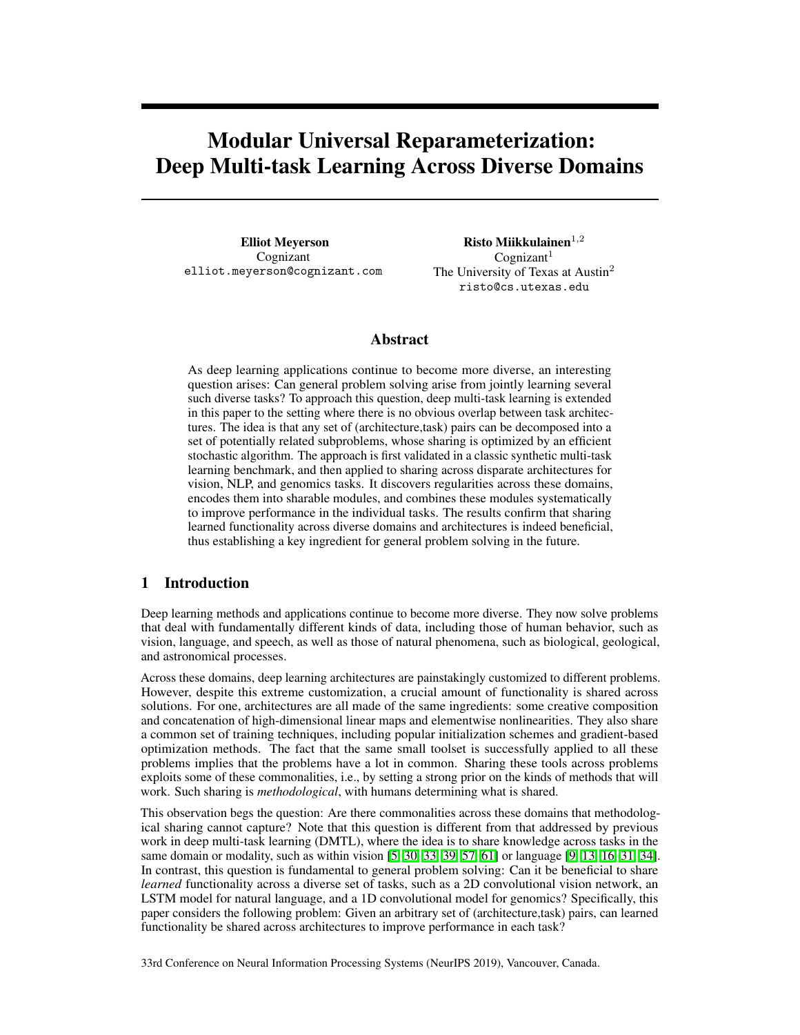# <span id="page-0-0"></span>Modular Universal Reparameterization: Deep Multi-task Learning Across Diverse Domains

Elliot Meyerson Cognizant elliot.meyerson@cognizant.com

Risto Miikkulainen $\real^{1,2}$  $Cognizant<sup>1</sup>$ The University of Texas at Austin<sup>2</sup> risto@cs.utexas.edu

# Abstract

<span id="page-0-1"></span>As deep learning applications continue to become more diverse, an interesting question arises: Can general problem solving arise from jointly learning several such diverse tasks? To approach this question, deep multi-task learning is extended in this paper to the setting where there is no obvious overlap between task architectures. The idea is that any set of (architecture,task) pairs can be decomposed into a set of potentially related subproblems, whose sharing is optimized by an efficient stochastic algorithm. The approach is first validated in a classic synthetic multi-task learning benchmark, and then applied to sharing across disparate architectures for vision, NLP, and genomics tasks. It discovers regularities across these domains, encodes them into sharable modules, and combines these modules systematically to improve performance in the individual tasks. The results confirm that sharing learned functionality across diverse domains and architectures is indeed beneficial, thus establishing a key ingredient for general problem solving in the future.

## 1 Introduction

Deep learning methods and applications continue to become more diverse. They now solve problems that deal with fundamentally different kinds of data, including those of human behavior, such as vision, language, and speech, as well as those of natural phenomena, such as biological, geological, and astronomical processes.

<span id="page-0-3"></span><span id="page-0-2"></span>Across these domains, deep learning architectures are painstakingly customized to different problems. However, despite this extreme customization, a crucial amount of functionality is shared across solutions. For one, architectures are all made of the same ingredients: some creative composition and concatenation of high-dimensional linear maps and elementwise nonlinearities. They also share a common set of training techniques, including popular initialization schemes and gradient-based optimization methods. The fact that the same small toolset is successfully applied to all these problems implies that the problems have a lot in common. Sharing these tools across problems exploits some of these commonalities, i.e., by setting a strong prior on the kinds of methods that will work. Such sharing is *methodological*, with humans determining what is shared.

<span id="page-0-4"></span>This observation begs the question: Are there commonalities across these domains that methodological sharing cannot capture? Note that this question is different from that addressed by previous work in deep multi-task learning (DMTL), where the idea is to share knowledge across tasks in the same domain or modality, such as within vision  $\left[\frac{5}{30, 33, 39, 57, 61}\right]$  $\left[\frac{5}{30, 33, 39, 57, 61}\right]$  $\left[\frac{5}{30, 33, 39, 57, 61}\right]$  $\left[\frac{5}{30, 33, 39, 57, 61}\right]$  $\left[\frac{5}{30, 33, 39, 57, 61}\right]$  $\left[\frac{5}{30, 33, 39, 57, 61}\right]$  $\left[\frac{5}{30, 33, 39, 57, 61}\right]$  $\left[\frac{5}{30, 33, 39, 57, 61}\right]$  $\left[\frac{5}{30, 33, 39, 57, 61}\right]$  or language  $\left[\frac{9, 13, 16, 31, 34}\right]$  $\left[\frac{9, 13, 16, 31, 34}\right]$  $\left[\frac{9, 13, 16, 31, 34}\right]$  $\left[\frac{9, 13, 16, 31, 34}\right]$  $\left[\frac{9, 13, 16, 31, 34}\right]$  $\left[\frac{9, 13, 16, 31, 34}\right]$  $\left[\frac{9, 13, 16, 31, 34}\right]$ . In contrast, this question is fundamental to general problem solving: Can it be beneficial to share *learned* functionality across a diverse set of tasks, such as a 2D convolutional vision network, an LSTM model for natural language, and a 1D convolutional model for genomics? Specifically, this paper considers the following problem: Given an arbitrary set of (architecture,task) pairs, can learned functionality be shared across architectures to improve performance in each task?

33rd Conference on Neural Information Processing Systems (NeurIPS 2019), Vancouver, Canada.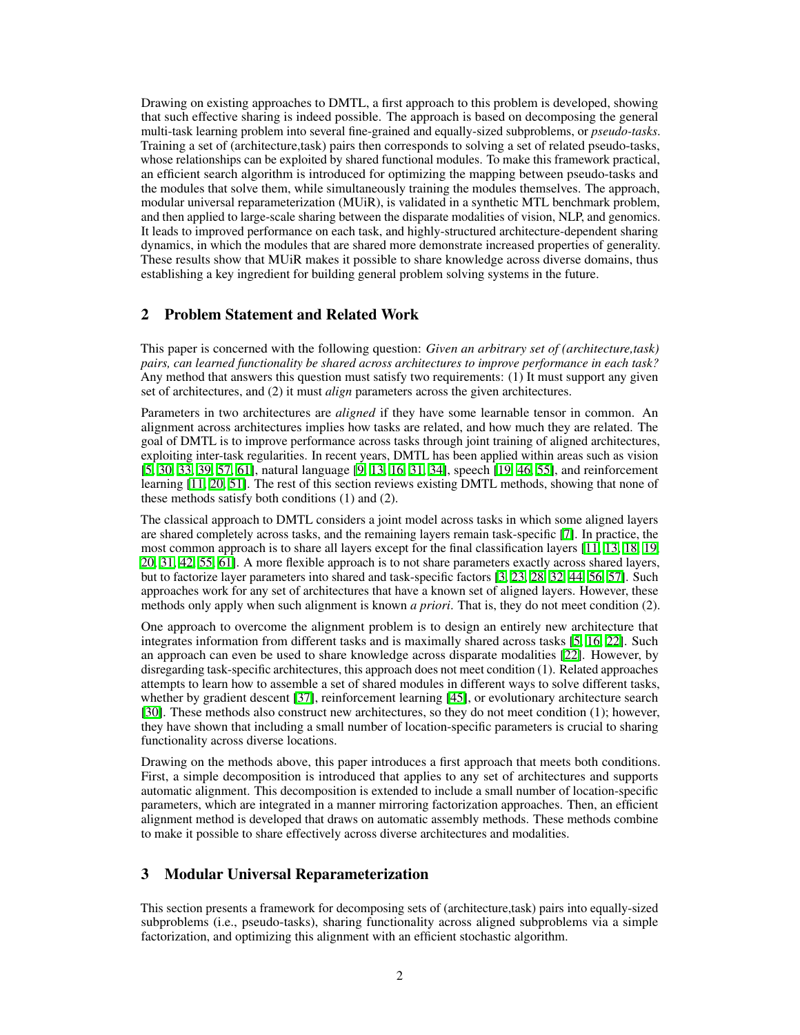Drawing on existing approaches to DMTL, a first approach to this problem is developed, showing that such effective sharing is indeed possible. The approach is based on decomposing the general multi-task learning problem into several fine-grained and equally-sized subproblems, or *pseudo-tasks*. Training a set of (architecture,task) pairs then corresponds to solving a set of related pseudo-tasks, whose relationships can be exploited by shared functional modules. To make this framework practical, an efficient search algorithm is introduced for optimizing the mapping between pseudo-tasks and the modules that solve them, while simultaneously training the modules themselves. The approach, modular universal reparameterization (MUiR), is validated in a synthetic MTL benchmark problem, and then applied to large-scale sharing between the disparate modalities of vision, NLP, and genomics. It leads to improved performance on each task, and highly-structured architecture-dependent sharing dynamics, in which the modules that are shared more demonstrate increased properties of generality. These results show that MUiR makes it possible to share knowledge across diverse domains, thus establishing a key ingredient for building general problem solving systems in the future.

## 2 Problem Statement and Related Work

This paper is concerned with the following question: *Given an arbitrary set of (architecture,task) pairs, can learned functionality be shared across architectures to improve performance in each task?* Any method that answers this question must satisfy two requirements: (1) It must support any given set of architectures, and (2) it must *align* parameters across the given architectures.

Parameters in two architectures are *aligned* if they have some learnable tensor in common. An alignment across architectures implies how tasks are related, and how much they are related. The goal of DMTL is to improve performance across tasks through joint training of aligned architectures, exploiting inter-task regularities. In recent years, DMTL has been applied within areas such as vision  $[5, 30, 33, 39, 57, 61]$  $[5, 30, 33, 39, 57, 61]$  $[5, 30, 33, 39, 57, 61]$  $[5, 30, 33, 39, 57, 61]$  $[5, 30, 33, 39, 57, 61]$  $[5, 30, 33, 39, 57, 61]$  $[5, 30, 33, 39, 57, 61]$  $[5, 30, 33, 39, 57, 61]$  $[5, 30, 33, 39, 57, 61]$  $[5, 30, 33, 39, 57, 61]$  $[5, 30, 33, 39, 57, 61]$ , natural language  $[9, 13, 16, 31, 34]$  $[9, 13, 16, 31, 34]$  $[9, 13, 16, 31, 34]$  $[9, 13, 16, 31, 34]$  $[9, 13, 16, 31, 34]$  $[9, 13, 16, 31, 34]$  $[9, 13, 16, 31, 34]$  $[9, 13, 16, 31, 34]$  $[9, 13, 16, 31, 34]$ , speech  $[19, 46, 55]$  $[19, 46, 55]$  $[19, 46, 55]$  $[19, 46, 55]$  $[19, 46, 55]$ , and reinforcement learning  $\left[\prod_{i=1}^{\infty}20,51\right]$  $\left[\prod_{i=1}^{\infty}20,51\right]$  $\left[\prod_{i=1}^{\infty}20,51\right]$ . The rest of this section reviews existing DMTL methods, showing that none of these methods satisfy both conditions (1) and (2).

The classical approach to DMTL considers a joint model across tasks in which some aligned layers are shared completely across tasks, and the remaining layers remain task-specific [\[7\]](#page-9-6). In practice, the most common approach is to share all layers except for the final classification layers [\[11,](#page-9-5) [13,](#page-9-2) [18,](#page-9-7) [19,](#page-9-4) 19, [20,](#page-10-5) [31,](#page-10-3) [42,](#page-11-5) [55,](#page-11-3) [61\]](#page-11-1). A more flexible approach is to not share parameters exactly across shared layers, but to factorize layer parameters into shared and task-specific factors **[\[3,](#page-9-8) [23,](#page-10-6) [28,](#page-10-7) 29, 24, [56,](#page-11-7) [57\]](#page-11-0)**. Such approaches work for any set of architectures that have a known set of aligned layers. However, these methods only apply when such alignment is known *a priori*. That is, they do not meet condition (2).

One approach to overcome the alignment problem is to design an entirely new architecture that integrates information from different tasks and is maximally shared across tasks  $[5, 16, 22]$  $[5, 16, 22]$  $[5, 16, 22]$  $[5, 16, 22]$  $[5, 16, 22]$ . Such an approach can even be used to share knowledge across disparate modalities  $[22]$ . However, by disregarding task-specific architectures, this approach does not meet condition (1). Related approaches attempts to learn how to assemble a set of shared modules in different ways to solve different tasks, whether by gradient descent  $\sqrt{37}$ , reinforcement learning  $\sqrt{45}$ , or evolutionary architecture search [\[30\]](#page-10-0). These methods also construct new architectures, so they do not meet condition (1); however, they have shown that including a small number of location-specific parameters is crucial to sharing functionality across diverse locations.

Drawing on the methods above, this paper introduces a first approach that meets both conditions. First, a simple decomposition is introduced that applies to any set of architectures and supports automatic alignment. This decomposition is extended to include a small number of location-specific parameters, which are integrated in a manner mirroring factorization approaches. Then, an efficient alignment method is developed that draws on automatic assembly methods. These methods combine to make it possible to share effectively across diverse architectures and modalities.

# <span id="page-1-0"></span>3 Modular Universal Reparameterization

This section presents a framework for decomposing sets of (architecture,task) pairs into equally-sized subproblems (i.e., pseudo-tasks), sharing functionality across aligned subproblems via a simple factorization, and optimizing this alignment with an efficient stochastic algorithm.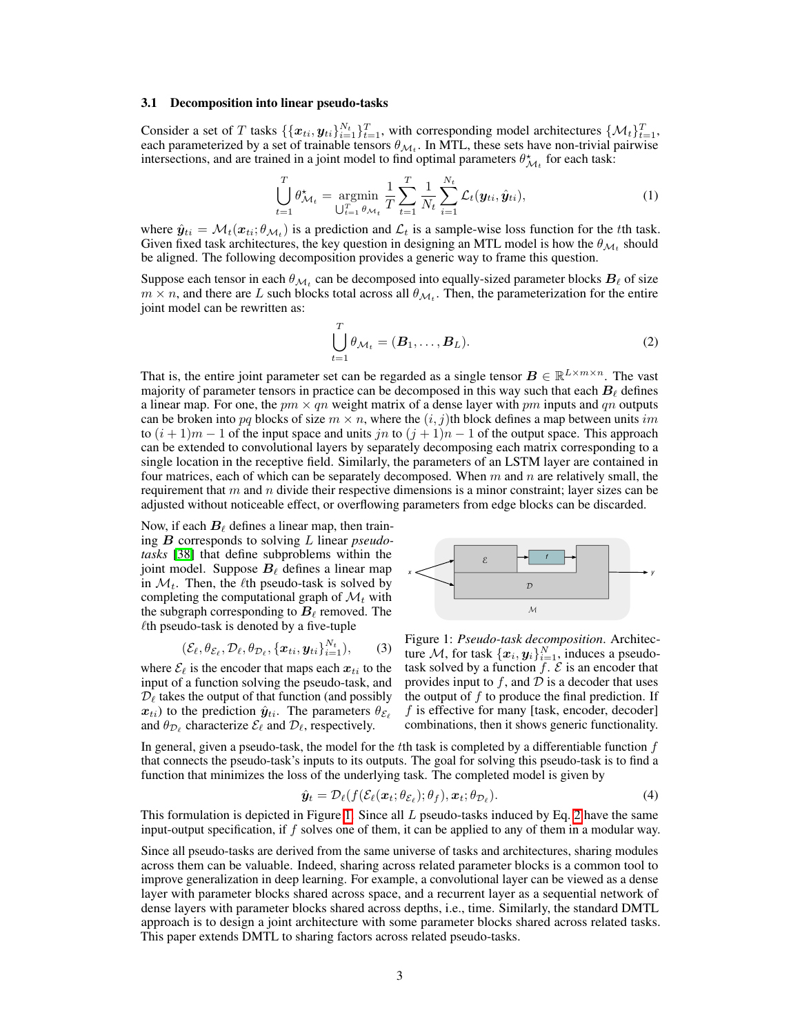#### <span id="page-2-2"></span>3.1 Decomposition into linear pseudo-tasks

Consider a set of T tasks  $\{\{x_{ti}, y_{ti}\}_{i=1}^{N_t}\}_{t=1}^T$ , with corresponding model architectures  $\{\mathcal{M}_t\}_{t=1}^T$ , each parameterized by a set of trainable tensors  $\theta_{\mathcal{M}_t}$ . In MTL, these sets have non-trivial pairwise intersections, and are trained in a joint model to find optimal parameters  $\theta_{\mathcal{M}_t}^*$  for each task:

$$
\bigcup_{t=1}^{T} \theta_{\mathcal{M}_t}^{\star} = \underset{\bigcup_{t=1}^{T} \theta_{\mathcal{M}_t}}{\text{argmin}} \frac{1}{T} \sum_{t=1}^{T} \frac{1}{N_t} \sum_{i=1}^{N_t} \mathcal{L}_t(\mathbf{y}_{ti}, \hat{\mathbf{y}}_{ti}), \tag{1}
$$

where  $\hat{y}_{ti} = \mathcal{M}_t(x_{ti}; \theta_{\mathcal{M}_t})$  is a prediction and  $\mathcal{L}_t$  is a sample-wise loss function for the *t*th task. Given fixed task architectures, the key question in designing an MTL model is how the  $\theta_{\mathcal{M}_t}$  should be aligned. The following decomposition provides a generic way to frame this question.

Suppose each tensor in each  $\theta_{\mathcal{M}_t}$  can be decomposed into equally-sized parameter blocks  $B_\ell$  of size  $m \times n$ , and there are *L* such blocks total across all  $\theta_{\mathcal{M}_t}$ . Then, the parameterization for the entire joint model can be rewritten as:

<span id="page-2-1"></span>
$$
\bigcup_{t=1}^{T} \theta_{\mathcal{M}_t} = (\mathbf{B}_1, \dots, \mathbf{B}_L).
$$
\n(2)

That is, the entire joint parameter set can be regarded as a single tensor  $B \in \mathbb{R}^{L \times m \times n}$ . The vast majority of parameter tensors in practice can be decomposed in this way such that each  $B_\ell$  defines a linear map. For one, the  $pm \times qn$  weight matrix of a dense layer with  $pm$  inputs and  $qn$  outputs can be broken into pq blocks of size  $m \times n$ , where the  $(i, j)$ th block defines a map between units *im* to  $(i + 1)m - 1$  of the input space and units *jn* to  $(j + 1)n - 1$  of the output space. This approach can be extended to convolutional layers by separately decomposing each matrix corresponding to a single location in the receptive field. Similarly, the parameters of an LSTM layer are contained in four matrices, each of which can be separately decomposed. When *m* and *n* are relatively small, the requirement that *m* and *n* divide their respective dimensions is a minor constraint; layer sizes can be adjusted without noticeable effect, or overflowing parameters from edge blocks can be discarded.

Now, if each  $B_\ell$  defines a linear map, then training *B* corresponds to solving *L* linear *pseudotasks* [\[38\]](#page-10-11) that define subproblems within the joint model. Suppose  $B_\ell$  defines a linear map in  $\mathcal{M}_t$ . Then, the  $\ell$ th pseudo-task is solved by completing the computational graph of  $\mathcal{M}_t$  with the subgraph corresponding to  $B_\ell$  removed. The  $\ell$ th pseudo-task is denoted by a five-tuple

$$
(\mathcal{E}_{\ell}, \theta_{\mathcal{E}_{\ell}}, \mathcal{D}_{\ell}, \theta_{\mathcal{D}_{\ell}}, \{\boldsymbol{x}_{ti}, \boldsymbol{y}_{ti}\}_{i=1}^{N_t}),
$$
 (3)

where  $\mathcal{E}_{\ell}$  is the encoder that maps each  $x_{ti}$  to the input of a function solving the pseudo-task, and  $D_{\ell}$  takes the output of that function (and possibly  $x_{ti}$ ) to the prediction  $\hat{y}_{ti}$ . The parameters  $\theta_{\mathcal{E}_{\ell}}$ and  $\theta_{\mathcal{D}_{\ell}}$  characterize  $\mathcal{E}_{\ell}$  and  $\mathcal{D}_{\ell}$ , respectively.

<span id="page-2-0"></span>

Figure 1: *Pseudo-task decomposition*. Architecture *M*, for task  $\{x_i, y_i\}_{i=1}^N$ , induces a pseudotask solved by a function  $f \, \mathcal{E}$  is an encoder that provides input to  $f$ , and  $D$  is a decoder that uses the output of  $f$  to produce the final prediction. If *f* is effective for many [task, encoder, decoder] combinations, then it shows generic functionality.

In general, given a pseudo-task, the model for the *t*th task is completed by a differentiable function *f* that connects the pseudo-task's inputs to its outputs. The goal for solving this pseudo-task is to find a function that minimizes the loss of the underlying task. The completed model is given by

$$
\hat{\boldsymbol{y}}_t = \mathcal{D}_{\ell}(f(\mathcal{E}_{\ell}(\boldsymbol{x}_t; \theta_{\mathcal{E}_{\ell}}); \theta_f), \boldsymbol{x}_t; \theta_{\mathcal{D}_{\ell}}). \tag{4}
$$

This formulation is depicted in Figure  $\overline{1}$ . Since all *L* pseudo-tasks induced by Eq.  $\overline{2}$  have the same input-output specification, if *f* solves one of them, it can be applied to any of them in a modular way.

Since all pseudo-tasks are derived from the same universe of tasks and architectures, sharing modules across them can be valuable. Indeed, sharing across related parameter blocks is a common tool to improve generalization in deep learning. For example, a convolutional layer can be viewed as a dense layer with parameter blocks shared across space, and a recurrent layer as a sequential network of dense layers with parameter blocks shared across depths, i.e., time. Similarly, the standard DMTL approach is to design a joint architecture with some parameter blocks shared across related tasks. This paper extends DMTL to sharing factors across related pseudo-tasks.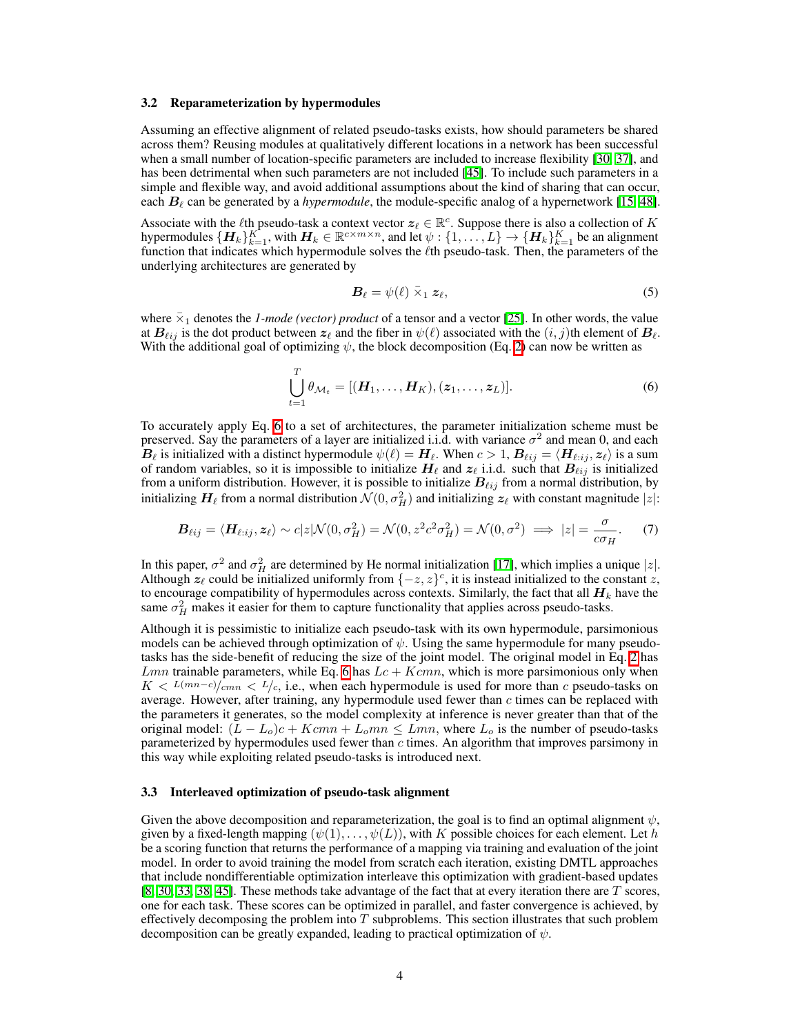#### <span id="page-3-1"></span>3.2 Reparameterization by hypermodules

Assuming an effective alignment of related pseudo-tasks exists, how should parameters be shared across them? Reusing modules at qualitatively different locations in a network has been successful when a small number of location-specific parameters are included to increase flexibility [\[30,](#page-10-0) [37\]](#page-10-10), and has been detrimental when such parameters are not included  $[45]$ . To include such parameters in a simple and flexible way, and avoid additional assumptions about the kind of sharing that can occur, each  $B_\ell$  can be generated by a *hypermodule*, the module-specific analog of a hypernetwork  $[15, 48]$  $[15, 48]$  $[15, 48]$ .

Associate with the  $\ell$ th pseudo-task a context vector  $z_\ell \in \mathbb{R}^c$ . Suppose there is also a collection of *K* hypermodules  $\{H_k\}_{k=1}^K$ , with  $H_k \in \mathbb{R}^{c \times m \times n}$ , and let  $\psi: \{1, \ldots, L\} \to \{H_k\}_{k=1}^K$  be an alignment function that indicates which hypermodule solves the  $\ell$ th pseudo-task. Then, the parameters of the underlying architectures are generated by

<span id="page-3-2"></span>
$$
\boldsymbol{B}_{\ell} = \psi(\ell) \ \bar{\times}_1 \ \boldsymbol{z}_{\ell},\tag{5}
$$

where  $\bar{x}_1$  denotes the *1-mode (vector) product* of a tensor and a vector  $[25]$ . In other words, the value at  $B_{\ell ij}$  is the dot product between  $z_{\ell}$  and the fiber in  $\psi(\ell)$  associated with the  $(i, j)$ th element of  $B_{\ell}$ . With the additional goal of optimizing  $\psi$ , the block decomposition (Eq. [2\)](#page-2-1) can now be written as

<span id="page-3-0"></span>
$$
\bigcup_{t=1}^{T} \theta_{\mathcal{M}_t} = [(\boldsymbol{H}_1, \dots, \boldsymbol{H}_K), (\boldsymbol{z}_1, \dots, \boldsymbol{z}_L)].
$$
\n(6)

To accurately apply Eq.  $\overline{6}$  to a set of architectures, the parameter initialization scheme must be preserved. Say the parameters of a layer are initialized i.i.d. with variance  $\sigma^2$  and mean 0, and each  $B_\ell$  is initialized with a distinct hypermodule  $\psi(\ell) = H_\ell$ . When  $c > 1$ ,  $B_{\ell ij} = \langle H_{\ell;ij}, z_\ell \rangle$  is a sum of random variables, so it is impossible to initialize  $H_\ell$  and  $z_\ell$  i.i.d. such that  $B_{\ell ij}$  is initialized from a uniform distribution. However, it is possible to initialize  $B_{\ell ij}$  from a normal distribution, by initializing  $H_\ell$  from a normal distribution  $\mathcal{N}(0, \sigma_H^2)$  and initializing  $z_\ell$  with constant magnitude  $|z|$ :

$$
\boldsymbol{B}_{\ell ij} = \langle \boldsymbol{H}_{\ell:ij}, \boldsymbol{z}_{\ell} \rangle \sim c |z| \mathcal{N}(0, \sigma_H^2) = \mathcal{N}(0, z^2 c^2 \sigma_H^2) = \mathcal{N}(0, \sigma^2) \implies |z| = \frac{\sigma}{c \sigma_H}.
$$
 (7)

In this paper,  $\sigma^2$  and  $\sigma_H^2$  are determined by He normal initialization  $\pi$ , which implies a unique  $|z|$ . Although  $z_{\ell}$  could be initialized uniformly from  $\{-z, z\}^c$ , it is instead initialized to the constant *z*, to encourage compatibility of hypermodules across contexts. Similarly, the fact that all  $H_k$  have the same  $\sigma_H^2$  makes it easier for them to capture functionality that applies across pseudo-tasks.

Although it is pessimistic to initialize each pseudo-task with its own hypermodule, parsimonious models can be achieved through optimization of  $\psi$ . Using the same hypermodule for many pseudotasks has the side-benefit of reducing the size of the joint model. The original model in Eq.  $\overline{2}$  has *Lmn* trainable parameters, while Eq. [6](#page-3-0) has  $Lc + Kcmn$ , which is more parsimonious only when  $K < L(mn-c)/cmn < L/c$ , i.e., when each hypermodule is used for more than *c* pseudo-tasks on average. However, after training, any hypermodule used fewer than *c* times can be replaced with the parameters it generates, so the model complexity at inference is never greater than that of the original model:  $(L - L_o)c + Kcmn + L_omn \leq Lmn$ , where  $L_o$  is the number of pseudo-tasks parameterized by hypermodules used fewer than *c* times. An algorithm that improves parsimony in this way while exploiting related pseudo-tasks is introduced next.

#### 3.3 Interleaved optimization of pseudo-task alignment

Given the above decomposition and reparameterization, the goal is to find an optimal alignment  $\psi$ , given by a fixed-length mapping  $(\psi(1),...,\psi(L))$ , with *K* possible choices for each element. Let *h* be a scoring function that returns the performance of a mapping via training and evaluation of the joint model. In order to avoid training the model from scratch each iteration, existing DMTL approaches that include nondifferentiable optimization interleave this optimization with gradient-based updates [\[8,](#page-9-11) [30,](#page-10-0) [33,](#page-10-1) [38,](#page-10-11) [45\]](#page-11-8). These methods take advantage of the fact that at every iteration there are *T* scores, one for each task. These scores can be optimized in parallel, and faster convergence is achieved, by effectively decomposing the problem into *T* subproblems. This section illustrates that such problem decomposition can be greatly expanded, leading to practical optimization of  $\psi$ .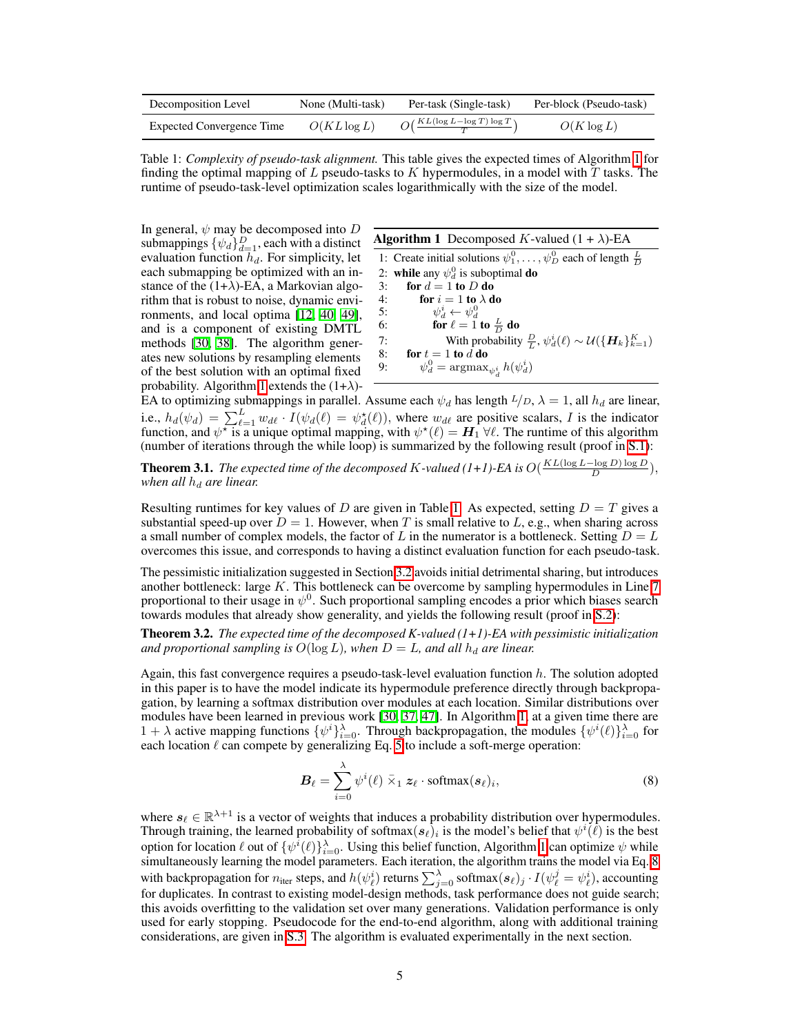<span id="page-4-1"></span>

| Decomposition Level       | None (Multi-task) | Per-task (Single-task)                               | Per-block (Pseudo-task) |
|---------------------------|-------------------|------------------------------------------------------|-------------------------|
| Expected Convergence Time | $O(KL\log L)$     | $O\left(\frac{KL(\log L - \log T) \log T}{T}\right)$ | $O(K \log L)$           |

Table [1](#page-4-0): *Complexity of pseudo-task alignment*. This table gives the expected times of Algorithm  $\frac{1}{\ln}$  for finding the optimal mapping of *L* pseudo-tasks to *K* hypermodules, in a model with *T* tasks. The runtime of pseudo-task-level optimization scales logarithmically with the size of the model.

In general,  $\psi$  may be decomposed into *D* submappings  $\{\psi_d\}_{d=1}^D$ , each with a distinct evaluation function *hd*. For simplicity, let each submapping be optimized with an instance of the  $(1+\lambda)$ -EA, a Markovian algorithm that is robust to noise, dynamic environments, and local optima  $[12, 40, 49]$  $[12, 40, 49]$  $[12, 40, 49]$  $[12, 40, 49]$  $[12, 40, 49]$ , and is a component of existing DMTL methods  $[30, 38]$  $[30, 38]$  $[30, 38]$ . The algorithm generates new solutions by resampling elements of the best solution with an optimal fixed probability. Algorithm  $\boxed{1}$  extends the  $(1+\lambda)$ -

|  | <b>Algorithm 1</b> Decomposed K-valued $(1 + \lambda)$ -EA |  |  |  |
|--|------------------------------------------------------------|--|--|--|
|--|------------------------------------------------------------|--|--|--|

<span id="page-4-2"></span><span id="page-4-0"></span>1: Create initial solutions  $\psi_1^0, \dots, \psi_D^0$  each of length  $\frac{L}{D}$ 2: while any  $\psi_d^0$  is suboptimal **do** 3: for  $d = 1$  to  $D$  do 4: **for**  $i = 1$  to  $\lambda$  do 5:  $\psi_d^i \leftarrow \psi_d^0$ <br>6: **for**  $\ell = 1$  to  $\frac{L}{D}$  do 7: With probability  $\frac{D}{L}$ ,  $\psi_d^i(\ell) \sim \mathcal{U}(\{\boldsymbol{H}_k\}_{k=1}^K)$ 8: **for**  $t = 1$  to  $d$  do 9:  $\psi_d^0 = \operatorname{argmax}_{\psi_d^i} h(\psi_d^i)$ 

EA to optimizing submappings in parallel. Assume each  $\psi_d$  has length  $L/D$ ,  $\lambda = 1$ , all  $h_d$  are linear, i.e.,  $h_d(\psi_d) = \sum_{\ell=1}^L w_{d\ell} \cdot I(\psi_d(\ell)) = \psi_d^{\star}(\ell)$ , where  $w_{d\ell}$  are positive scalars, *I* is the indicator function, and  $\psi^*$  is a unique optimal mapping, with  $\psi^*(\ell) = H_1 \forall \ell$ . The runtime of this algorithm (number of iterations through the while loop) is summarized by the following result (proof in  $\boxed{S.1}$ ):

**Theorem 3.1.** The expected time of the decomposed K-valued  $(1+1)$ -EA is  $O(\frac{KL(\log L - \log D) \log D}{D})$ , *when all h<sup>d</sup> are linear.*

Resulting runtimes for key values of *D* are given in Table  $\prod$ . As expected, setting  $D = T$  gives a substantial speed-up over  $D = 1$ . However, when *T* is small relative to *L*, e.g., when sharing across a small number of complex models, the factor of  $L$  in the numerator is a bottleneck. Setting  $D = L$ overcomes this issue, and corresponds to having a distinct evaluation function for each pseudo-task.

The pessimistic initialization suggested in Section  $3.2$  avoids initial detrimental sharing, but introduces another bottleneck: large  $K$ . This bottleneck can be overcome by sampling hypermodules in Line  $\boxed{7}$ proportional to their usage in  $\psi^0$ . Such proportional sampling encodes a prior which biases search towards modules that already show generality, and yields the following result (proof in  $(S.2)$ ):

<span id="page-4-4"></span>Theorem 3.2. *The expected time of the decomposed K-valued (1+1)-EA with pessimistic initialization and proportional sampling is*  $O(\log L)$ *, when*  $D = L$ *, and all*  $h_d$  *are linear.* 

Again, this fast convergence requires a pseudo-task-level evaluation function *h*. The solution adopted in this paper is to have the model indicate its hypermodule preference directly through backpropagation, by learning a softmax distribution over modules at each location. Similar distributions over modules have been learned in previous work  $[30, 37, 47]$  $[30, 37, 47]$  $[30, 37, 47]$  $[30, 37, 47]$  $[30, 37, 47]$ . In Algorithm  $[1]$ , at a given time there are 1 +  $\lambda$  active mapping functions  $\{\psi^i\}_{i=0}^{\lambda}$ . Through backpropagation, the modules  $\{\psi^i(\ell)\}_{i=0}^{\lambda}$  for each location  $\ell$  can compete by generalizing Eq.  $5$  to include a soft-merge operation:

<span id="page-4-3"></span>
$$
\boldsymbol{B}_{\ell} = \sum_{i=0}^{\lambda} \psi^{i}(\ell) \bar{\times}_{1} \boldsymbol{z}_{\ell} \cdot \text{softmax}(\boldsymbol{s}_{\ell})_{i},
$$
\n(8)

where  $s_\ell \in \mathbb{R}^{\lambda+1}$  is a vector of weights that induces a probability distribution over hypermodules. Through training, the learned probability of softmax $(s_\ell)_i$  is the model's belief that  $\psi^i(\ell)$  is the best option for location  $\ell$  out of  $\{\psi^i(\ell)\}_{i=0}^{\lambda}$ . Using this belief function, Algorithm  $\frac{1}{2}$  can optimize  $\psi$  while simultaneously learning the model parameters. Each iteration, the algorithm trains the model via Eq.  $\overline{8}$ with backpropagation for  $n_{\text{iter}}$  steps, and  $h(\psi_{\ell}^{i})$  returns  $\sum_{j=0}^{\lambda}$  softmax $(s_{\ell})_{j} \cdot I(\psi_{\ell}^{j} = \psi_{\ell}^{i})$ , accounting for duplicates. In contrast to existing model-design methods, task performance does not guide search; this avoids overfitting to the validation set over many generations. Validation performance is only used for early stopping. Pseudocode for the end-to-end algorithm, along with additional training considerations, are given in  $\sqrt{5.3}$ . The algorithm is evaluated experimentally in the next section.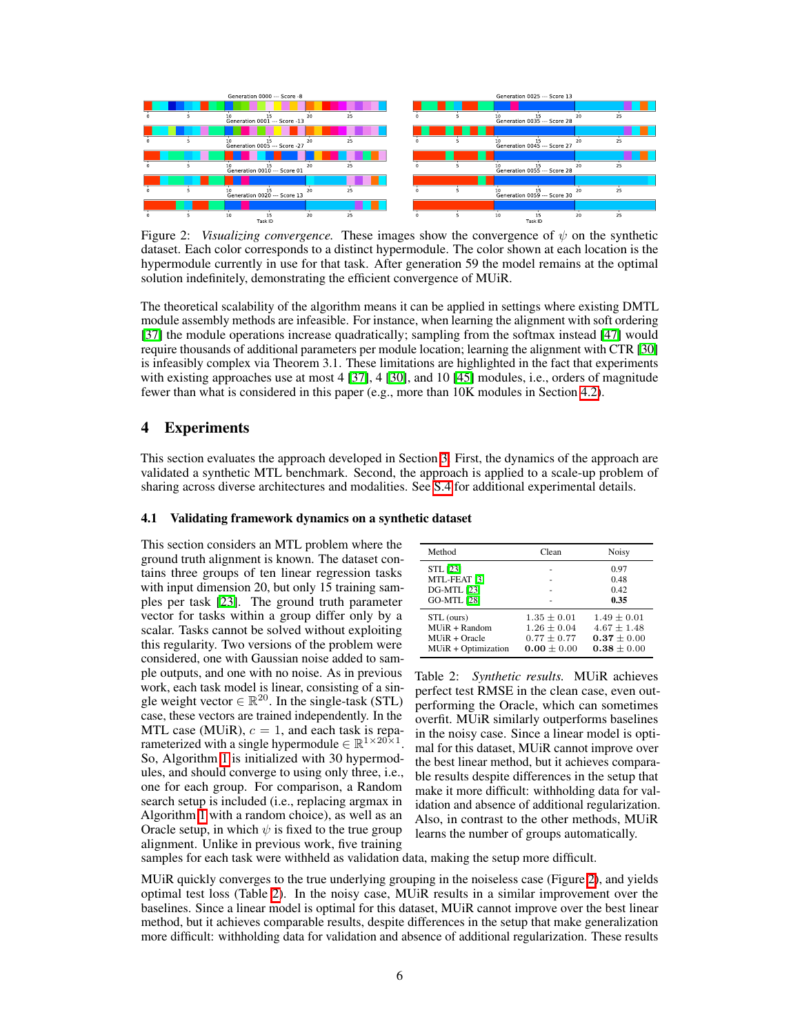<span id="page-5-0"></span>

Figure 2: *Visualizing convergence*. These images show the convergence of  $\psi$  on the synthetic dataset. Each color corresponds to a distinct hypermodule. The color shown at each location is the hypermodule currently in use for that task. After generation 59 the model remains at the optimal solution indefinitely, demonstrating the efficient convergence of MUiR.

The theoretical scalability of the algorithm means it can be applied in settings where existing DMTL module assembly methods are infeasible. For instance, when learning the alignment with soft ordering  $[37]$  the module operations increase quadratically; sampling from the softmax instead  $[47]$  would require thousands of additional parameters per module location; learning the alignment with CTR [\[30\]](#page-10-0) is infeasibly complex via Theorem 3.1. These limitations are highlighted in the fact that experiments with existing approaches use at most 4  $[37]$ , 4  $[30]$ , and 10  $[45]$  modules, i.e., orders of magnitude fewer than what is considered in this paper (e.g., more than 10K modules in Section  $\overline{4.2}$ ).

## 4 Experiments

This section evaluates the approach developed in Section  $\overline{3}$ . First, the dynamics of the approach are validated a synthetic MTL benchmark. Second, the approach is applied to a scale-up problem of sharing across diverse architectures and modalities. See  $\overline{S.4}$  for additional experimental details.

## 4.1 Validating framework dynamics on a synthetic dataset

This section considers an MTL problem where the ground truth alignment is known. The dataset contains three groups of ten linear regression tasks with input dimension 20, but only 15 training samples per task  $[23]$ . The ground truth parameter vector for tasks within a group differ only by a scalar. Tasks cannot be solved without exploiting this regularity. Two versions of the problem were considered, one with Gaussian noise added to sample outputs, and one with no noise. As in previous work, each task model is linear, consisting of a single weight vector  $\in \mathbb{R}^{20}$ . In the single-task (STL) case, these vectors are trained independently. In the MTL case (MU<sub>iR</sub>),  $c = 1$ , and each task is reparameterized with a single hypermodule  $\in \mathbb{R}^{1 \times 20 \times 1}$ . So, Algorithm  $\overline{1}$  is initialized with 30 hypermodules, and should converge to using only three, i.e., one for each group. For comparison, a Random search setup is included (i.e., replacing argmax in Algorithm  $\boxed{1}$  with a random choice), as well as an Oracle setup, in which  $\psi$  is fixed to the true group alignment. Unlike in previous work, five training

<span id="page-5-1"></span>

| Method                                        | Clean                              | Noisy                            |
|-----------------------------------------------|------------------------------------|----------------------------------|
| <b>STL</b> [23]                               |                                    | 0.97                             |
| MTL-FEAT <sup>[3]</sup><br><b>DG-MTL</b> [23] |                                    | 0.48<br>0.42                     |
| <b>GO-MTL [28]</b>                            |                                    | 0.35                             |
| STL (ours)<br>$MUiR + Random$                 | $1.35 \pm 0.01$<br>$1.26 \pm 0.04$ | $1.49 \pm 0.01$<br>$4.67 + 1.48$ |
| $MIIR + Oracle$                               | $0.77 + 0.77$                      | $0.37 \pm 0.00$                  |
| MUiR + Optimization                           | $0.00 + 0.00$                      | $0.38 + 0.00$                    |

Table 2: *Synthetic results.* MUiR achieves perfect test RMSE in the clean case, even outperforming the Oracle, which can sometimes overfit. MUiR similarly outperforms baselines in the noisy case. Since a linear model is optimal for this dataset, MUiR cannot improve over the best linear method, but it achieves comparable results despite differences in the setup that make it more difficult: withholding data for validation and absence of additional regularization. Also, in contrast to the other methods, MUiR learns the number of groups automatically.

samples for each task were withheld as validation data, making the setup more difficult.

MUIR quickly converges to the true underlying grouping in the noiseless case (Figure  $\overline{2}$ ), and yields optimal test loss (Table  $\overline{2}$ ). In the noisy case, MUiR results in a similar improvement over the baselines. Since a linear model is optimal for this dataset, MUiR cannot improve over the best linear method, but it achieves comparable results, despite differences in the setup that make generalization more difficult: withholding data for validation and absence of additional regularization. These results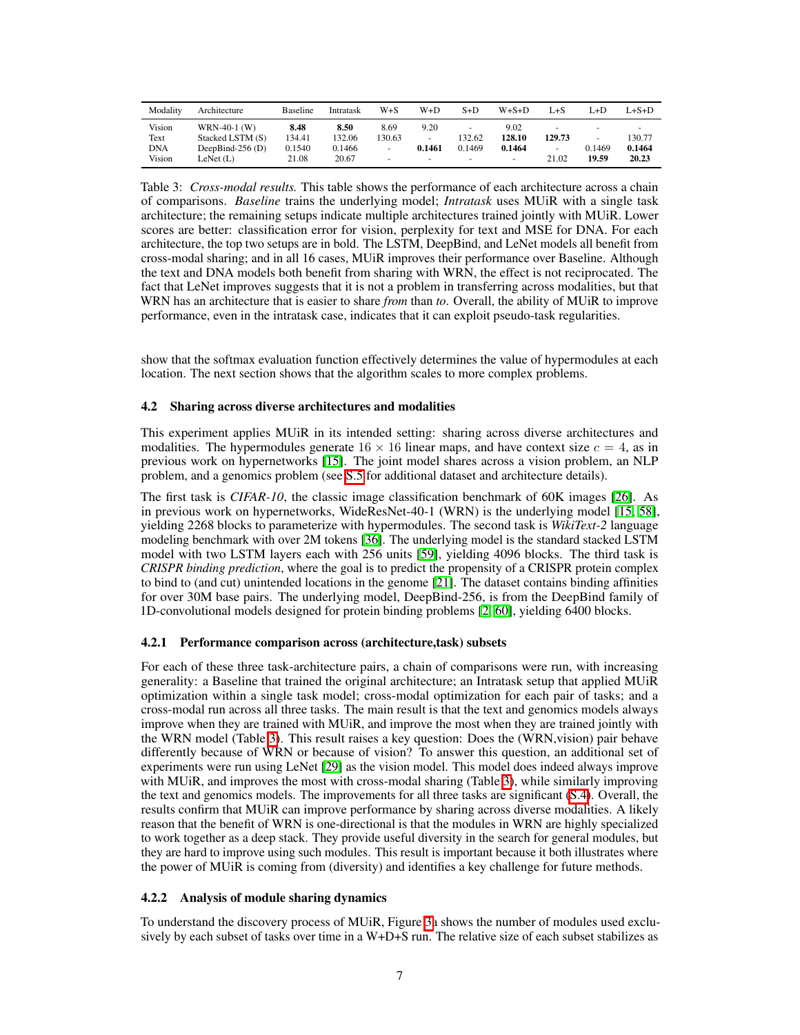<span id="page-6-1"></span>

| Modality   | Architecture       | <b>Baseline</b> | Intratask | W+S    | W+D                      | $S+D$  | $W + S + D$              | L+S                      | L+D    | L+S+D  |
|------------|--------------------|-----------------|-----------|--------|--------------------------|--------|--------------------------|--------------------------|--------|--------|
| Vision     | WRN-40-1 (W)       | 8.48            | 8.50      | 8.69   | 9.20                     | ۰      | 9.02                     |                          | -      |        |
| Text       | Stacked LSTM (S)   | 134.41          | 132.06    | 130.63 | $\overline{\phantom{a}}$ | 132.62 | 128.10                   | 129.73                   |        | 130.77 |
| <b>DNA</b> | DeepBind-256 $(D)$ | 0.1540          | 0.1466    | ۰      | 0.1461                   | 0.1469 | 0.1464                   | $\overline{\phantom{a}}$ | 0.1469 | 0.1464 |
| Vision     | LeNet (L)          | 21.08           | 20.67     | -      | -                        | ۰      | $\overline{\phantom{a}}$ | 21.02                    | 19.59  | 20.23  |

Table 3: *Cross-modal results.* This table shows the performance of each architecture across a chain of comparisons. *Baseline* trains the underlying model; *Intratask* uses MUiR with a single task architecture; the remaining setups indicate multiple architectures trained jointly with MUiR. Lower scores are better: classification error for vision, perplexity for text and MSE for DNA. For each architecture, the top two setups are in bold. The LSTM, DeepBind, and LeNet models all benefit from cross-modal sharing; and in all 16 cases, MUiR improves their performance over Baseline. Although the text and DNA models both benefit from sharing with WRN, the effect is not reciprocated. The fact that LeNet improves suggests that it is not a problem in transferring across modalities, but that WRN has an architecture that is easier to share *from* than *to*. Overall, the ability of MUiR to improve performance, even in the intratask case, indicates that it can exploit pseudo-task regularities.

show that the softmax evaluation function effectively determines the value of hypermodules at each location. The next section shows that the algorithm scales to more complex problems.

## <span id="page-6-0"></span>4.2 Sharing across diverse architectures and modalities

This experiment applies MUiR in its intended setting: sharing across diverse architectures and modalities. The hypermodules generate  $16 \times 16$  linear maps, and have context size  $c = 4$ , as in previous work on hypernetworks [\[15\]](#page-9-9). The joint model shares across a vision problem, an NLP problem, and a genomics problem (see  $\sqrt{5.5}$  for additional dataset and architecture details).

The first task is *CIFAR-10*, the classic image classification benchmark of 60K images [\[26\]](#page-10-14). As in previous work on hypernetworks, WideResNet-40-1 (WRN) is the underlying model  $[15, 58]$  $[15, 58]$  $[15, 58]$ , yielding 2268 blocks to parameterize with hypermodules. The second task is *WikiText-2* language modeling benchmark with over 2M tokens  $\overline{36}$ . The underlying model is the standard stacked LSTM model with two LSTM layers each with 256 units [\[59\]](#page-11-13), yielding 4096 blocks. The third task is *CRISPR binding prediction*, where the goal is to predict the propensity of a CRISPR protein complex to bind to (and cut) unintended locations in the genome  $[21]$ . The dataset contains binding affinities for over 30M base pairs. The underlying model, DeepBind-256, is from the DeepBind family of 1D-convolutional models designed for protein binding problems [\[2,](#page-9-13) [60\]](#page-11-14), yielding 6400 blocks.

### 4.2.1 Performance comparison across (architecture,task) subsets

For each of these three task-architecture pairs, a chain of comparisons were run, with increasing generality: a Baseline that trained the original architecture; an Intratask setup that applied MUiR optimization within a single task model; cross-modal optimization for each pair of tasks; and a cross-modal run across all three tasks. The main result is that the text and genomics models always improve when they are trained with MUiR, and improve the most when they are trained jointly with the WRN model (Table  $\overline{3}$ ). This result raises a key question: Does the (WRN, vision) pair behave differently because of WRN or because of vision? To answer this question, an additional set of experiments were run using LeNet  $[29]$  as the vision model. This model does indeed always improve with MUiR, and improves the most with cross-modal sharing (Table  $\overline{3}$ ), while similarly improving the text and genomics models. The improvements for all three tasks are significant  $(S.4)$ . Overall, the results confirm that MUiR can improve performance by sharing across diverse modalities. A likely reason that the benefit of WRN is one-directional is that the modules in WRN are highly specialized to work together as a deep stack. They provide useful diversity in the search for general modules, but they are hard to improve using such modules. This result is important because it both illustrates where the power of MUiR is coming from (diversity) and identifies a key challenge for future methods.

## 4.2.2 Analysis of module sharing dynamics

To understand the discovery process of MUiR, Figure  $\beta_a$  shows the number of modules used exclusively by each subset of tasks over time in a W+D+S run. The relative size of each subset stabilizes as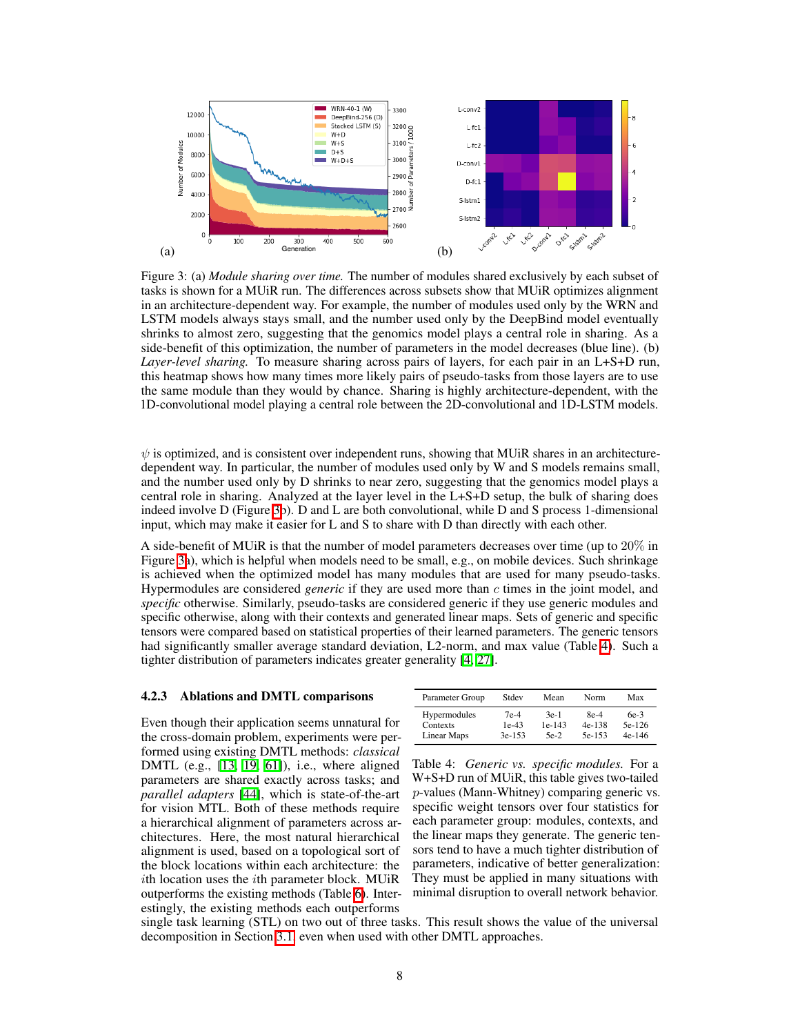<span id="page-7-0"></span>

Figure 3: (a) *Module sharing over time.* The number of modules shared exclusively by each subset of tasks is shown for a MUiR run. The differences across subsets show that MUiR optimizes alignment in an architecture-dependent way. For example, the number of modules used only by the WRN and LSTM models always stays small, and the number used only by the DeepBind model eventually shrinks to almost zero, suggesting that the genomics model plays a central role in sharing. As a side-benefit of this optimization, the number of parameters in the model decreases (blue line). (b) *Layer-level sharing.* To measure sharing across pairs of layers, for each pair in an L+S+D run, this heatmap shows how many times more likely pairs of pseudo-tasks from those layers are to use the same module than they would by chance. Sharing is highly architecture-dependent, with the 1D-convolutional model playing a central role between the 2D-convolutional and 1D-LSTM models.

 $\psi$  is optimized, and is consistent over independent runs, showing that MUiR shares in an architecturedependent way. In particular, the number of modules used only by W and S models remains small, and the number used only by D shrinks to near zero, suggesting that the genomics model plays a central role in sharing. Analyzed at the layer level in the L+S+D setup, the bulk of sharing does indeed involve D (Figure  $\overline{3}$ b). D and L are both convolutional, while D and S process 1-dimensional input, which may make it easier for L and S to share with D than directly with each other.

A side-benefit of MUiR is that the number of model parameters decreases over time (up to 20% in Figure  $\overline{3}$ a), which is helpful when models need to be small, e.g., on mobile devices. Such shrinkage is achieved when the optimized model has many modules that are used for many pseudo-tasks. Hypermodules are considered *generic* if they are used more than *c* times in the joint model, and *specific* otherwise. Similarly, pseudo-tasks are considered generic if they use generic modules and specific otherwise, along with their contexts and generated linear maps. Sets of generic and specific tensors were compared based on statistical properties of their learned parameters. The generic tensors had significantly smaller average standard deviation, L2-norm, and max value (Table  $\overline{A}$ ). Such a tighter distribution of parameters indicates greater generality  $[4, 27]$  $[4, 27]$ .

## 4.2.3 Ablations and DMTL comparisons

Even though their application seems unnatural for the cross-domain problem, experiments were performed using existing DMTL methods: *classical* DMTL (e.g.,  $[13, 19, 61]$  $[13, 19, 61]$  $[13, 19, 61]$  $[13, 19, 61]$  $[13, 19, 61]$ ), i.e., where aligned parameters are shared exactly across tasks; and *parallel adapters* [\[44\]](#page-11-6), which is state-of-the-art for vision MTL. Both of these methods require a hierarchical alignment of parameters across architectures. Here, the most natural hierarchical alignment is used, based on a topological sort of the block locations within each architecture: the *i*th location uses the *i*th parameter block. MUiR outperforms the existing methods (Table  $\overline{6}$ ). Interestingly, the existing methods each outperforms

| Parameter Group | Stdev    | Mean     | Norm     | Max      |
|-----------------|----------|----------|----------|----------|
| Hypermodules    | $7e-4$   | $3e-1$   | $8e-4$   | $6e-3$   |
| Contexts        | $1e-43$  | $1e-143$ | $4e-138$ | 5e-126   |
| Linear Maps     | $3e-153$ | $5e-2$   | 5e-153   | $4e-146$ |

<span id="page-7-1"></span>Table 4: *Generic vs. specific modules.* For a W+S+D run of MUiR, this table gives two-tailed *p*-values (Mann-Whitney) comparing generic vs. specific weight tensors over four statistics for each parameter group: modules, contexts, and the linear maps they generate. The generic tensors tend to have a much tighter distribution of parameters, indicative of better generalization: They must be applied in many situations with minimal disruption to overall network behavior.

single task learning (STL) on two out of three tasks. This result shows the value of the universal decomposition in Section [3.1,](#page-2-2) even when used with other DMTL approaches.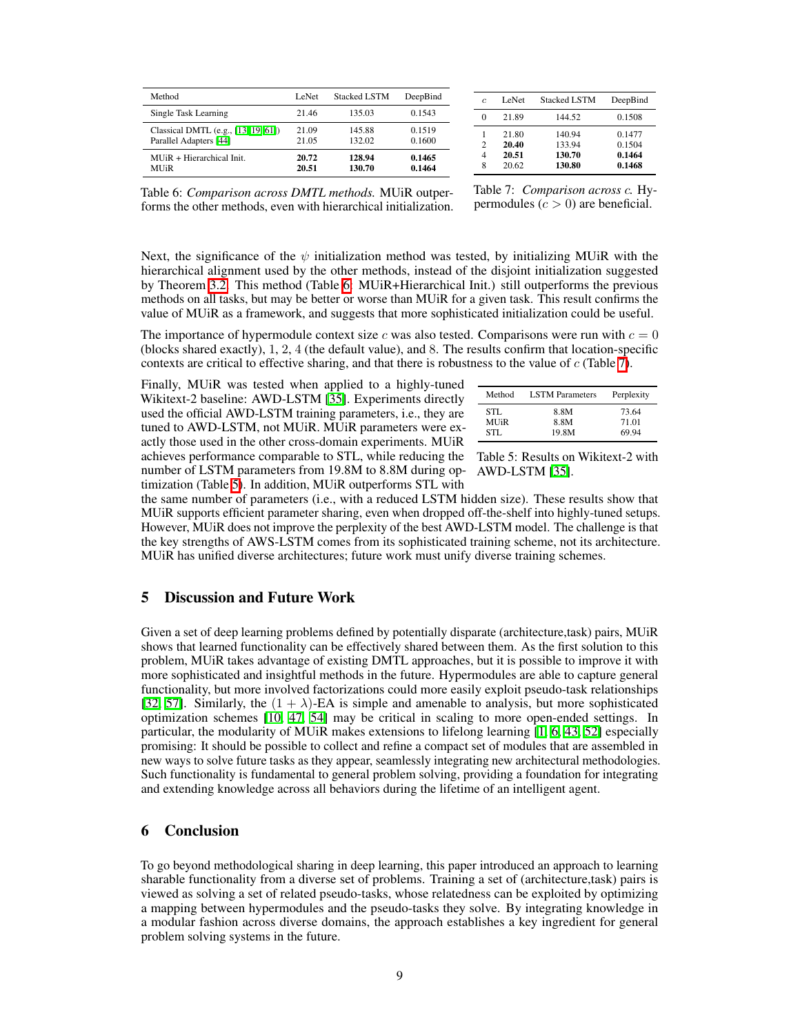<span id="page-8-0"></span>

| Method                                   | LeNet | <b>Stacked LSTM</b> | DeepBind |
|------------------------------------------|-------|---------------------|----------|
| Single Task Learning                     | 21.46 | 135.03              | 0.1543   |
| Classical DMTL (e.g., $[13] [19] [61]$ ) | 21.09 | 145.88              | 0.1519   |
| Parallel Adapters [44]                   | 21.05 | 132.02              | 0.1600   |
| $MUiR + Hierarchical Init.$              | 20.72 | 128.94              | 0.1465   |
| <b>MUR</b>                               | 20.51 | 130.70              | 0.1464   |

| C                             | LeNet                            | <b>Stacked LSTM</b>                  | DeepBind                             |
|-------------------------------|----------------------------------|--------------------------------------|--------------------------------------|
| 0                             | 21.89                            | 144.52                               | 0.1508                               |
| 1<br>$\mathfrak{D}$<br>4<br>8 | 21.80<br>20.40<br>20.51<br>20.62 | 140.94<br>133.94<br>130.70<br>130.80 | 0.1477<br>0.1504<br>0.1464<br>0.1468 |

Table 6: *Comparison across DMTL methods.* MUiR outperforms the other methods, even with hierarchical initialization.

Table 7: *Comparison across c.* Hypermodules  $(c > 0)$  are beneficial.

Next, the significance of the  $\psi$  initialization method was tested, by initializing MUiR with the hierarchical alignment used by the other methods, instead of the disjoint initialization suggested by Theorem  $\overline{3.2}$ . This method (Table  $\overline{6}$ : MUiR+Hierarchical Init.) still outperforms the previous methods on all tasks, but may be better or worse than MUiR for a given task. This result confirms the value of MUiR as a framework, and suggests that more sophisticated initialization could be useful.

The importance of hypermodule context size *c* was also tested. Comparisons were run with  $c = 0$ (blocks shared exactly), 1, 2, 4 (the default value), and 8. The results confirm that location-specific contexts are critical to effective sharing, and that there is robustness to the value of  $c$  (Table  $\overline{7}$ ).

number of LSTM parameters from 19.8M to 8.8M during op- AWD-LSTM [\[35\]](#page-10-19). Finally, MUiR was tested when applied to a highly-tuned Wikitext-2 baseline: AWD-LSTM [\[35\]](#page-10-19). Experiments directly used the official AWD-LSTM training parameters, i.e., they are tuned to AWD-LSTM, not MUiR. MUiR parameters were exactly those used in the other cross-domain experiments. MUiR achieves performance comparable to STL, while reducing the timization (Table  $\overline{5}$ ). In addition, MUiR outperforms STL with

<span id="page-8-1"></span>

| Method     | <b>LSTM</b> Parameters | Perplexity |
|------------|------------------------|------------|
| STL.       | 8.8M                   | 73.64      |
| <b>MUR</b> | 8.8M                   | 71.01      |
| STI.       | 19.8M                  | 69.94      |

Table 5: Results on Wikitext-2 with

the same number of parameters (i.e., with a reduced LSTM hidden size). These results show that MUiR supports efficient parameter sharing, even when dropped off-the-shelf into highly-tuned setups. However, MUiR does not improve the perplexity of the best AWD-LSTM model. The challenge is that the key strengths of AWS-LSTM comes from its sophisticated training scheme, not its architecture. MUiR has unified diverse architectures; future work must unify diverse training schemes.

# 5 Discussion and Future Work

Given a set of deep learning problems defined by potentially disparate (architecture,task) pairs, MUiR shows that learned functionality can be effectively shared between them. As the first solution to this problem, MUiR takes advantage of existing DMTL approaches, but it is possible to improve it with more sophisticated and insightful methods in the future. Hypermodules are able to capture general functionality, but more involved factorizations could more easily exploit pseudo-task relationships [\[32,](#page-10-8)  $\boxed{57}$ ]. Similarly, the  $(1 + \lambda)$ -EA is simple and amenable to analysis, but more sophisticated optimization schemes  $[10, 47, 54]$  $[10, 47, 54]$  $[10, 47, 54]$  $[10, 47, 54]$  $[10, 47, 54]$  may be critical in scaling to more open-ended settings. In particular, the modularity of MUiR makes extensions to lifelong learning  $\left[\frac{1}{6}, \frac{1}{6}, \frac{1}{3}, \frac{1}{2}\right]$  especially promising: It should be possible to collect and refine a compact set of modules that are assembled in new ways to solve future tasks as they appear, seamlessly integrating new architectural methodologies. Such functionality is fundamental to general problem solving, providing a foundation for integrating and extending knowledge across all behaviors during the lifetime of an intelligent agent.

## 6 Conclusion

To go beyond methodological sharing in deep learning, this paper introduced an approach to learning sharable functionality from a diverse set of problems. Training a set of (architecture,task) pairs is viewed as solving a set of related pseudo-tasks, whose relatedness can be exploited by optimizing a mapping between hypermodules and the pseudo-tasks they solve. By integrating knowledge in a modular fashion across diverse domains, the approach establishes a key ingredient for general problem solving systems in the future.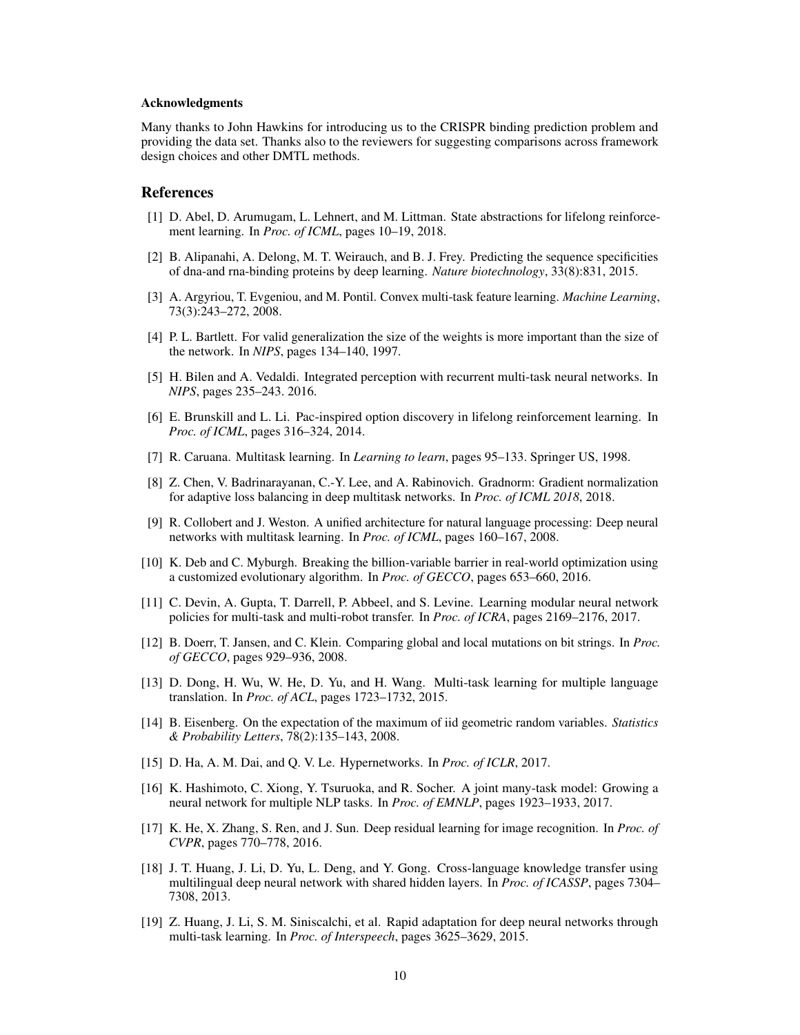#### Acknowledgments

Many thanks to John Hawkins for introducing us to the CRISPR binding prediction problem and providing the data set. Thanks also to the reviewers for suggesting comparisons across framework design choices and other DMTL methods.

## References

- <span id="page-9-16"></span>[1] D. Abel, D. Arumugam, L. Lehnert, and M. Littman. State abstractions for lifelong reinforcement learning. In *Proc. of ICML*, pages 10–19, 2018.
- <span id="page-9-13"></span>[2] B. Alipanahi, A. Delong, M. T. Weirauch, and B. J. Frey. Predicting the sequence specificities of dna-and rna-binding proteins by deep learning. *Nature biotechnology*, 33(8):831, 2015.
- <span id="page-9-8"></span>[3] A. Argyriou, T. Evgeniou, and M. Pontil. Convex multi-task feature learning. *Machine Learning*, 73(3):243–272, 2008.
- <span id="page-9-14"></span>[4] P. L. Bartlett. For valid generalization the size of the weights is more important than the size of the network. In *NIPS*, pages 134–140, 1997.
- <span id="page-9-0"></span>[5] H. Bilen and A. Vedaldi. Integrated perception with recurrent multi-task neural networks. In *NIPS*, pages 235–243. 2016.
- <span id="page-9-17"></span>[6] E. Brunskill and L. Li. Pac-inspired option discovery in lifelong reinforcement learning. In *Proc. of ICML*, pages 316–324, 2014.
- <span id="page-9-6"></span>[7] R. Caruana. Multitask learning. In *Learning to learn*, pages 95–133. Springer US, 1998.
- <span id="page-9-11"></span>[8] Z. Chen, V. Badrinarayanan, C.-Y. Lee, and A. Rabinovich. Gradnorm: Gradient normalization for adaptive loss balancing in deep multitask networks. In *Proc. of ICML 2018*, 2018.
- <span id="page-9-1"></span>[9] R. Collobert and J. Weston. A unified architecture for natural language processing: Deep neural networks with multitask learning. In *Proc. of ICML*, pages 160–167, 2008.
- <span id="page-9-15"></span>[10] K. Deb and C. Myburgh. Breaking the billion-variable barrier in real-world optimization using a customized evolutionary algorithm. In *Proc. of GECCO*, pages 653–660, 2016.
- <span id="page-9-5"></span>[11] C. Devin, A. Gupta, T. Darrell, P. Abbeel, and S. Levine. Learning modular neural network policies for multi-task and multi-robot transfer. In *Proc. of ICRA*, pages 2169–2176, 2017.
- <span id="page-9-12"></span>[12] B. Doerr, T. Jansen, and C. Klein. Comparing global and local mutations on bit strings. In *Proc. of GECCO*, pages 929–936, 2008.
- <span id="page-9-2"></span>[13] D. Dong, H. Wu, W. He, D. Yu, and H. Wang. Multi-task learning for multiple language translation. In *Proc. of ACL*, pages 1723–1732, 2015.
- [14] B. Eisenberg. On the expectation of the maximum of iid geometric random variables. *Statistics & Probability Letters*, 78(2):135–143, 2008.
- <span id="page-9-9"></span>[15] D. Ha, A. M. Dai, and Q. V. Le. Hypernetworks. In *Proc. of ICLR*, 2017.
- <span id="page-9-3"></span>[16] K. Hashimoto, C. Xiong, Y. Tsuruoka, and R. Socher. A joint many-task model: Growing a neural network for multiple NLP tasks. In *Proc. of EMNLP*, pages 1923–1933, 2017.
- <span id="page-9-10"></span>[17] K. He, X. Zhang, S. Ren, and J. Sun. Deep residual learning for image recognition. In *Proc. of CVPR*, pages 770–778, 2016.
- <span id="page-9-7"></span>[18] J. T. Huang, J. Li, D. Yu, L. Deng, and Y. Gong. Cross-language knowledge transfer using multilingual deep neural network with shared hidden layers. In *Proc. of ICASSP*, pages 7304– 7308, 2013.
- <span id="page-9-4"></span>[19] Z. Huang, J. Li, S. M. Siniscalchi, et al. Rapid adaptation for deep neural networks through multi-task learning. In *Proc. of Interspeech*, pages 3625–3629, 2015.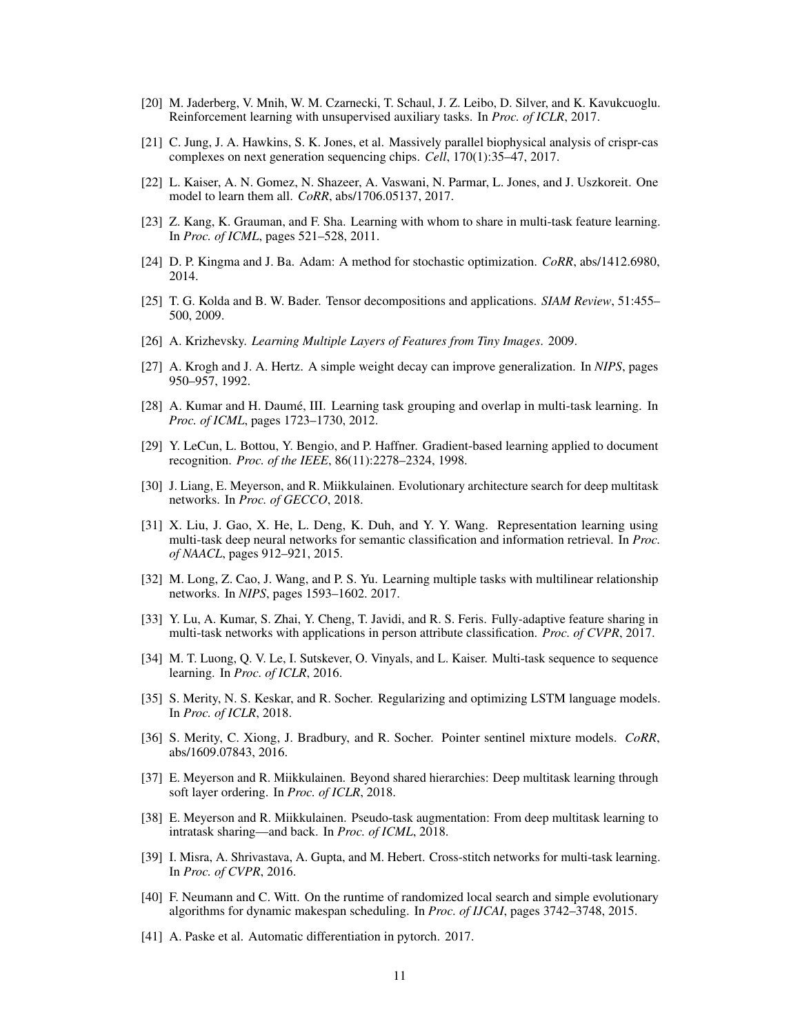- <span id="page-10-5"></span>[20] M. Jaderberg, V. Mnih, W. M. Czarnecki, T. Schaul, J. Z. Leibo, D. Silver, and K. Kavukcuoglu. Reinforcement learning with unsupervised auxiliary tasks. In *Proc. of ICLR*, 2017.
- <span id="page-10-16"></span>[21] C. Jung, J. A. Hawkins, S. K. Jones, et al. Massively parallel biophysical analysis of crispr-cas complexes on next generation sequencing chips. *Cell*, 170(1):35–47, 2017.
- <span id="page-10-9"></span>[22] L. Kaiser, A. N. Gomez, N. Shazeer, A. Vaswani, N. Parmar, L. Jones, and J. Uszkoreit. One model to learn them all. *CoRR*, abs/1706.05137, 2017.
- <span id="page-10-6"></span>[23] Z. Kang, K. Grauman, and F. Sha. Learning with whom to share in multi-task feature learning. In *Proc. of ICML*, pages 521–528, 2011.
- [24] D. P. Kingma and J. Ba. Adam: A method for stochastic optimization. *CoRR*, abs/1412.6980, 2014.
- <span id="page-10-12"></span>[25] T. G. Kolda and B. W. Bader. Tensor decompositions and applications. *SIAM Review*, 51:455– 500, 2009.
- <span id="page-10-14"></span>[26] A. Krizhevsky. *Learning Multiple Layers of Features from Tiny Images*. 2009.
- <span id="page-10-18"></span>[27] A. Krogh and J. A. Hertz. A simple weight decay can improve generalization. In *NIPS*, pages 950–957, 1992.
- <span id="page-10-7"></span>[28] A. Kumar and H. Daume, III. Learning task grouping and overlap in multi-task learning. In ´ *Proc. of ICML*, pages 1723–1730, 2012.
- <span id="page-10-17"></span>[29] Y. LeCun, L. Bottou, Y. Bengio, and P. Haffner. Gradient-based learning applied to document recognition. *Proc. of the IEEE*, 86(11):2278–2324, 1998.
- <span id="page-10-0"></span>[30] J. Liang, E. Meyerson, and R. Miikkulainen. Evolutionary architecture search for deep multitask networks. In *Proc. of GECCO*, 2018.
- <span id="page-10-3"></span>[31] X. Liu, J. Gao, X. He, L. Deng, K. Duh, and Y. Y. Wang. Representation learning using multi-task deep neural networks for semantic classification and information retrieval. In *Proc. of NAACL*, pages 912–921, 2015.
- <span id="page-10-8"></span>[32] M. Long, Z. Cao, J. Wang, and P. S. Yu. Learning multiple tasks with multilinear relationship networks. In *NIPS*, pages 1593–1602. 2017.
- <span id="page-10-1"></span>[33] Y. Lu, A. Kumar, S. Zhai, Y. Cheng, T. Javidi, and R. S. Feris. Fully-adaptive feature sharing in multi-task networks with applications in person attribute classification. *Proc. of CVPR*, 2017.
- <span id="page-10-4"></span>[34] M. T. Luong, Q. V. Le, I. Sutskever, O. Vinyals, and L. Kaiser. Multi-task sequence to sequence learning. In *Proc. of ICLR*, 2016.
- <span id="page-10-19"></span>[35] S. Merity, N. S. Keskar, and R. Socher. Regularizing and optimizing LSTM language models. In *Proc. of ICLR*, 2018.
- <span id="page-10-15"></span>[36] S. Merity, C. Xiong, J. Bradbury, and R. Socher. Pointer sentinel mixture models. *CoRR*, abs/1609.07843, 2016.
- <span id="page-10-10"></span>[37] E. Meyerson and R. Miikkulainen. Beyond shared hierarchies: Deep multitask learning through soft layer ordering. In *Proc. of ICLR*, 2018.
- <span id="page-10-11"></span>[38] E. Meyerson and R. Miikkulainen. Pseudo-task augmentation: From deep multitask learning to intratask sharing—and back. In *Proc. of ICML*, 2018.
- <span id="page-10-2"></span>[39] I. Misra, A. Shrivastava, A. Gupta, and M. Hebert. Cross-stitch networks for multi-task learning. In *Proc. of CVPR*, 2016.
- <span id="page-10-13"></span>[40] F. Neumann and C. Witt. On the runtime of randomized local search and simple evolutionary algorithms for dynamic makespan scheduling. In *Proc. of IJCAI*, pages 3742–3748, 2015.
- [41] A. Paske et al. Automatic differentiation in pytorch. 2017.